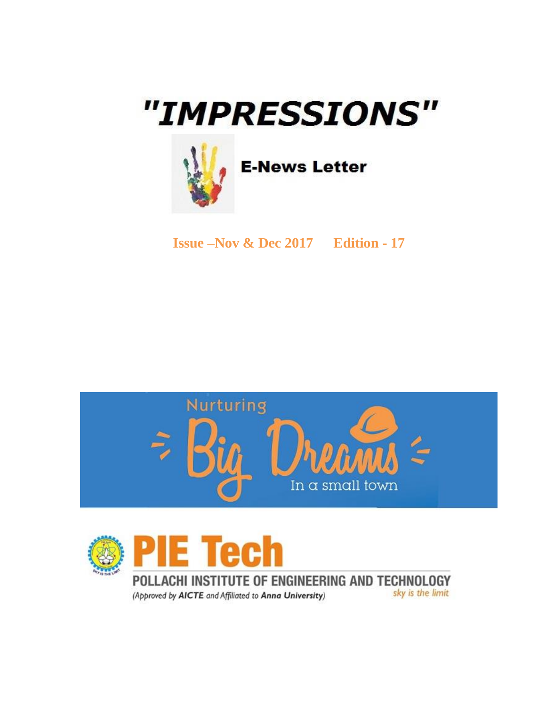# "IMPRESSIONS"



**E-News Letter** 

**Issue –Nov & Dec 2017 Edition - 17**





POLLACHI INSTITUTE OF ENGINEERING AND TECHNOLOGY sky is the limit (Approved by AICTE and Affiliated to Anna University)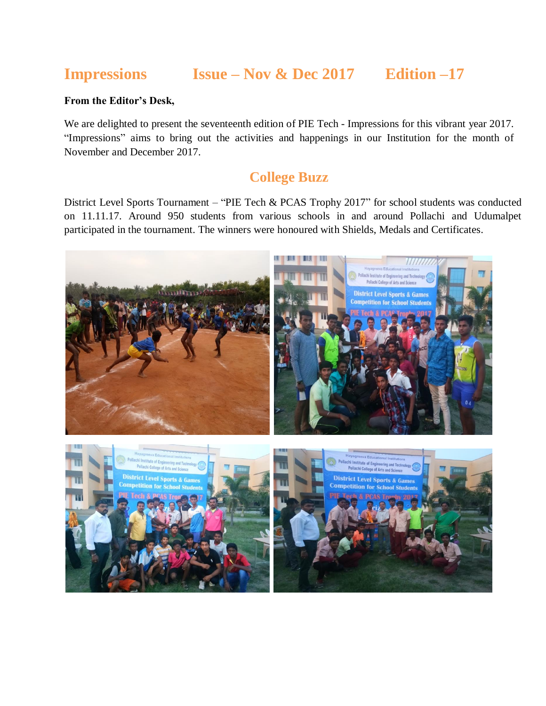# **Impressions Issue – Nov & Dec 2017 Edition –17**

#### **From the Editor's Desk,**

We are delighted to present the seventeenth edition of PIE Tech - Impressions for this vibrant year 2017. "Impressions" aims to bring out the activities and happenings in our Institution for the month of November and December 2017.

## **College Buzz**

District Level Sports Tournament – "PIE Tech & PCAS Trophy 2017" for school students was conducted on 11.11.17. Around 950 students from various schools in and around Pollachi and Udumalpet participated in the tournament. The winners were honoured with Shields, Medals and Certificates.

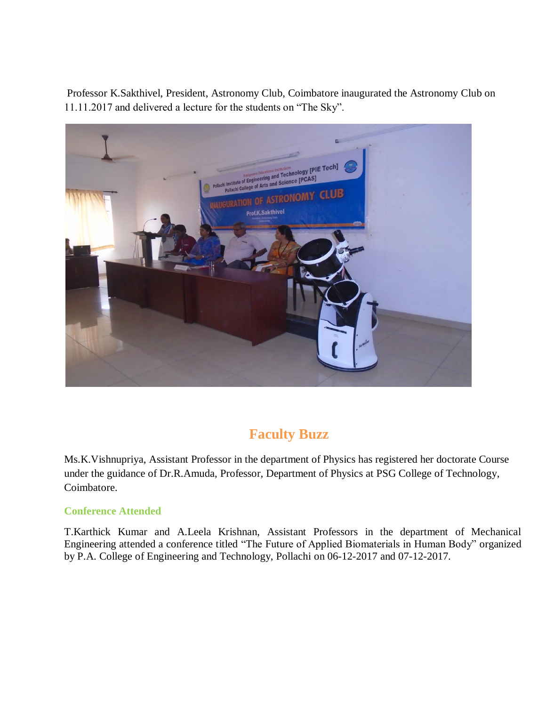Professor K.Sakthivel, President, Astronomy Club, Coimbatore inaugurated the Astronomy Club on 11.11.2017 and delivered a lecture for the students on "The Sky".



# **Faculty Buzz**

Ms.K.Vishnupriya, Assistant Professor in the department of Physics has registered her doctorate Course under the guidance of Dr.R.Amuda, Professor, Department of Physics at PSG College of Technology, Coimbatore.

#### **Conference Attended**

T.Karthick Kumar and A.Leela Krishnan, Assistant Professors in the department of Mechanical Engineering attended a conference titled "The Future of Applied Biomaterials in Human Body" organized by P.A. College of Engineering and Technology, Pollachi on 06-12-2017 and 07-12-2017.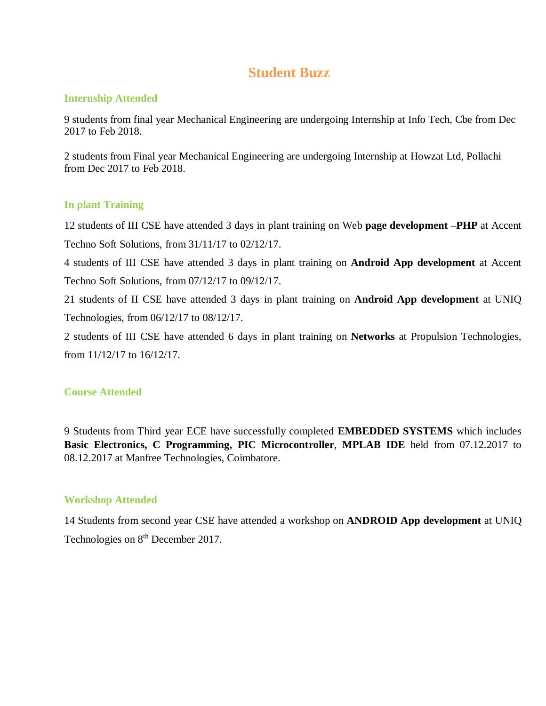# **Student Buzz**

#### **Internship Attended**

9 students from final year Mechanical Engineering are undergoing Internship at Info Tech, Cbe from Dec 2017 to Feb 2018.

2 students from Final year Mechanical Engineering are undergoing Internship at Howzat Ltd, Pollachi from Dec 2017 to Feb 2018.

#### **In plant Training**

12 students of III CSE have attended 3 days in plant training on Web **page development –PHP** at Accent Techno Soft Solutions, from 31/11/17 to 02/12/17.

4 students of III CSE have attended 3 days in plant training on **Android App development** at Accent Techno Soft Solutions, from 07/12/17 to 09/12/17.

21 students of II CSE have attended 3 days in plant training on **Android App development** at UNIQ Technologies, from 06/12/17 to 08/12/17.

2 students of III CSE have attended 6 days in plant training on **Networks** at Propulsion Technologies, from 11/12/17 to 16/12/17.

#### **Course Attended**

9 Students from Third year ECE have successfully completed **EMBEDDED SYSTEMS** which includes **Basic Electronics, C Programming, PIC Microcontroller**, **MPLAB IDE** held from 07.12.2017 to 08.12.2017 at Manfree Technologies, Coimbatore.

#### **Workshop Attended**

14 Students from second year CSE have attended a workshop on **ANDROID App development** at UNIQ Technologies on 8<sup>th</sup> December 2017.